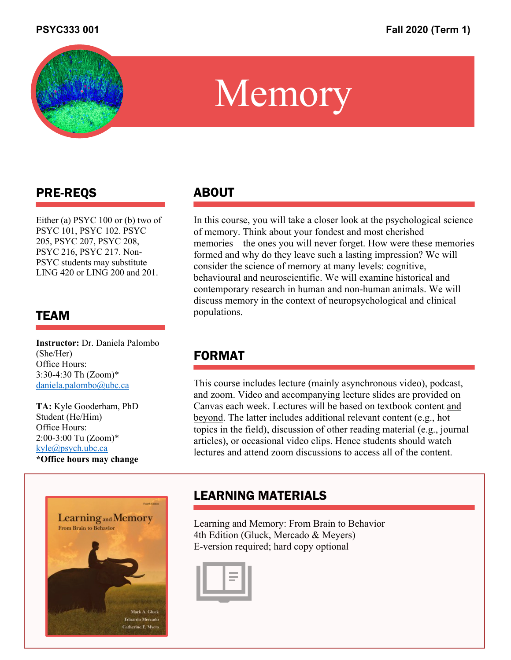

## $M_{\odot}$  or  $\odot$  or  $\ddot{\sim}$ PROFESSION OR INDUSTRY | LINK TO OTHER ONLINE PROPERTIES: Memory

# PRE-REQS

Either (a) PSYC 100 or (b) two of PSYC 101, PSYC 102. PSYC 205, PSYC 207, PSYC 208, PSYC 216, PSYC 217. Non-PSYC students may substitute LING 420 or LING 200 and 201.

### TEAM

**Instructor:** Dr. Daniela Palombo (She/Her) Office Hours: 3:30-4:30 Th (Zoom)\* daniela.palombo@ubc.ca

**TA:** Kyle Gooderham, PhD Student (He/Him) Office Hours: 2:00-3:00 Tu (Zoom)\* kyle@psych.ubc.ca **\*Office hours may change**



## ABOUT

In this course, you will take a closer look at the psychological science of memory. Think about your fondest and most cherished memories—the ones you will never forget. How were these memories formed and why do they leave such a lasting impression? We will consider the science of memory at many levels: cognitive, behavioural and neuroscientific. We will examine historical and contemporary research in human and non-human animals. We will discuss memory in the context of neuropsychological and clinical populations.

## FORMAT

This course includes lecture (mainly asynchronous video), podcast, and zoom. Video and accompanying lecture slides are provided on Canvas each week. Lectures will be based on textbook content and beyond. The latter includes additional relevant content (e.g., hot topics in the field), discussion of other reading material (e.g., journal articles), or occasional video clips. Hence students should watch lectures and attend zoom discussions to access all of the content.

## LEARNING MATERIALS

Learning and Memory: From Brain to Behavior 4th Edition (Gluck, Mercado & Meyers) E-version required; hard copy optional

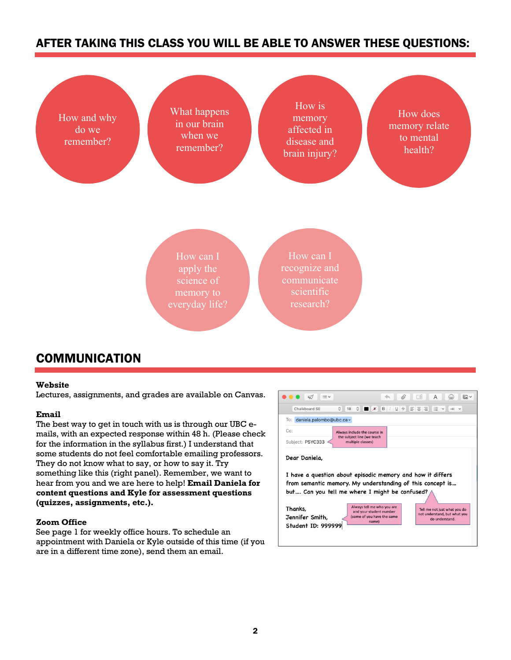### AFTER TAKING THIS CLASS YOU WILL BE ABLE TO ANSWER THESE QUESTIONS:



### **COMMUNICATION**

### **Website**

Lectures, assignments, and grades are available on Canvas.

### **Email**

The best way to get in touch with us is through our UBC emails, with an expected response within 48 h. (Please check for the information in the syllabus first.) I understand that some students do not feel comfortable emailing professors. They do not know what to say, or how to say it. Try something like this (right panel). Remember, we want to hear from you and we are here to help! **Email Daniela for content questions and Kyle for assessment questions (quizzes, assignments, etc.).**

### **Zoom Office**

See page 1 for weekly office hours. To schedule an appointment with Daniela or Kyle outside of this time (if you are in a different time zone), send them an email.

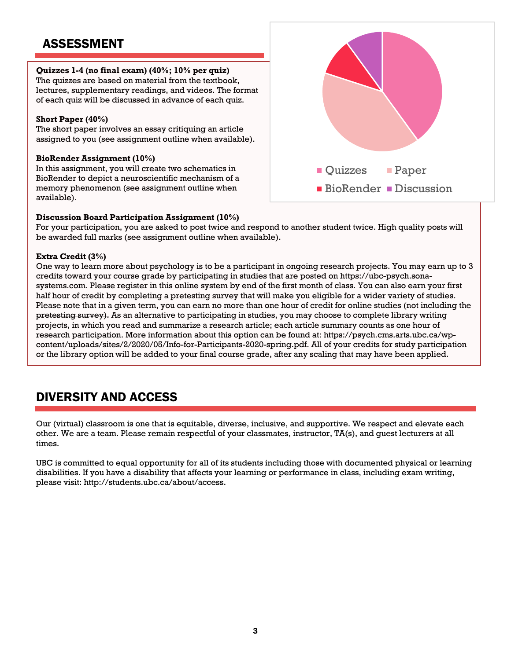### ASSESSMENT

### **Quizzes 1-4 (no final exam) (40%; 10% per quiz)**

The quizzes are based on material from the textbook, lectures, supplementary readings, and videos. The format of each quiz will be discussed in advance of each quiz.

### **Short Paper (40%)**

The short paper involves an essay critiquing an article assigned to you (see assignment outline when available).

### **BioRender Assignment (10%)**

In this assignment, you will create two schematics in BioRender to depict a neuroscientific mechanism of a memory phenomenon (see assignment outline when available).

### **Discussion Board Participation Assignment (10%)**

For your participation, you are asked to post twice and respond to another student twice. High quality posts will be awarded full marks (see assignment outline when available).

### **Extra Credit (3%)**

One way to learn more about psychology is to be a participant in ongoing research projects. You may earn up to 3 credits toward your course grade by participating in studies that are posted on https://ubc-psych.sonasystems.com. Please register in this online system by end of the first month of class. You can also earn your first half hour of credit by completing a pretesting survey that will make you eligible for a wider variety of studies. Please note that in a given term, you can earn no more than one hour of credit for online studies (not including the pretesting survey). As an alternative to participating in studies, you may choose to complete library writing projects, in which you read and summarize a research article; each article summary counts as one hour of research participation. More information about this option can be found at: https://psych.cms.arts.ubc.ca/wpcontent/uploads/sites/2/2020/05/Info-for-Participants-2020-spring.pdf. All of your credits for study participation or the library option will be added to your final course grade, after any scaling that may have been applied.

### DIVERSITY AND ACCESS

Our (virtual) classroom is one that is equitable, diverse, inclusive, and supportive. We respect and elevate each other. We are a team. Please remain respectful of your classmates, instructor, TA(s), and guest lecturers at all times.

UBC is committed to equal opportunity for all of its students including those with documented physical or learning disabilities. If you have a disability that affects your learning or performance in class, including exam writing, please visit: http://students.ubc.ca/about/access.

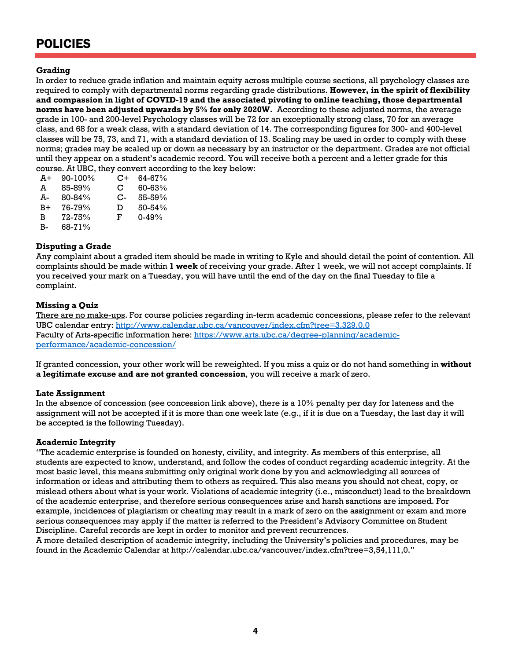## POLICIES

### **Grading**

In order to reduce grade inflation and maintain equity across multiple course sections, all psychology classes are required to comply with departmental norms regarding grade distributions. **However, in the spirit of flexibility and compassion in light of COVID-19 and the associated pivoting to online teaching, those departmental norms have been adjusted upwards by 5% for only 2020W.** According to these adjusted norms, the average grade in 100- and 200-level Psychology classes will be 72 for an exceptionally strong class, 70 for an average class, and 68 for a weak class, with a standard deviation of 14. The corresponding figures for 300- and 400-level classes will be 75, 73, and 71, with a standard deviation of 13. Scaling may be used in order to comply with these norms; grades may be scaled up or down as necessary by an instructor or the department. Grades are not official until they appear on a student's academic record. You will receive both a percent and a letter grade for this course. At UBC, they convert according to the key below:

| A+   | $90 - 100\%$ | C+   | 64-67%     |
|------|--------------|------|------------|
| A    | 85-89%       | C    | 60-63%     |
| А-   | 80-84%       | $C-$ | 55-59%     |
| $B+$ | 76-79%       | D    | $50 - 54%$ |
| B    | 72-75%       | F.   | $0 - 49%$  |
| B-   | 68-71%       |      |            |

### **Disputing a Grade**

Any complaint about a graded item should be made in writing to Kyle and should detail the point of contention. All complaints should be made within **1 week** of receiving your grade. After 1 week, we will not accept complaints. If you received your mark on a Tuesday, you will have until the end of the day on the final Tuesday to file a complaint.

### **Missing a Quiz**

There are no make-ups. For course policies regarding in-term academic concessions, please refer to the relevant UBC calendar entry: http://www.calendar.ubc.ca/vancouver/index.cfm?tree=3,329,0,0 Faculty of Arts-specific information here: https://www.arts.ubc.ca/degree-planning/academicperformance/academic-concession/

If granted concession, your other work will be reweighted. If you miss a quiz or do not hand something in **without a legitimate excuse and are not granted concession**, you will receive a mark of zero.

### **Late Assignment**

In the absence of concession (see concession link above), there is a 10% penalty per day for lateness and the assignment will not be accepted if it is more than one week late (e.g., if it is due on a Tuesday, the last day it will be accepted is the following Tuesday).

### **Academic Integrity**

"The academic enterprise is founded on honesty, civility, and integrity. As members of this enterprise, all students are expected to know, understand, and follow the codes of conduct regarding academic integrity. At the most basic level, this means submitting only original work done by you and acknowledging all sources of information or ideas and attributing them to others as required. This also means you should not cheat, copy, or mislead others about what is your work. Violations of academic integrity (i.e., misconduct) lead to the breakdown of the academic enterprise, and therefore serious consequences arise and harsh sanctions are imposed. For example, incidences of plagiarism or cheating may result in a mark of zero on the assignment or exam and more serious consequences may apply if the matter is referred to the President's Advisory Committee on Student Discipline. Careful records are kept in order to monitor and prevent recurrences.

A more detailed description of academic integrity, including the University's policies and procedures, may be found in the Academic Calendar at http://calendar.ubc.ca/vancouver/index.cfm?tree=3,54,111,0."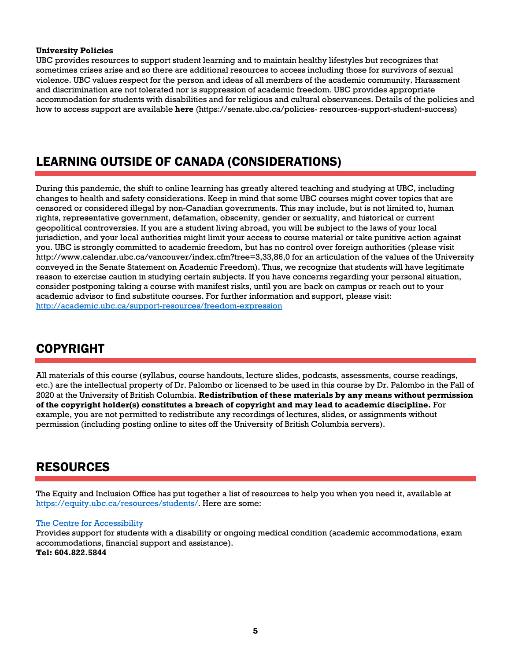### **University Policies**

UBC provides resources to support student learning and to maintain healthy lifestyles but recognizes that sometimes crises arise and so there are additional resources to access including those for survivors of sexual violence. UBC values respect for the person and ideas of all members of the academic community. Harassment and discrimination are not tolerated nor is suppression of academic freedom. UBC provides appropriate accommodation for students with disabilities and for religious and cultural observances. Details of the policies and how to access support are available **here** (https://senate.ubc.ca/policies- resources-support-student-success)

## LEARNING OUTSIDE OF CANADA (CONSIDERATIONS)

During this pandemic, the shift to online learning has greatly altered teaching and studying at UBC, including changes to health and safety considerations. Keep in mind that some UBC courses might cover topics that are censored or considered illegal by non-Canadian governments. This may include, but is not limited to, human rights, representative government, defamation, obscenity, gender or sexuality, and historical or current geopolitical controversies. If you are a student living abroad, you will be subject to the laws of your local jurisdiction, and your local authorities might limit your access to course material or take punitive action against you. UBC is strongly committed to academic freedom, but has no control over foreign authorities (please visit http://www.calendar.ubc.ca/vancouver/index.cfm?tree=3,33,86,0 for an articulation of the values of the University conveyed in the Senate Statement on Academic Freedom). Thus, we recognize that students will have legitimate reason to exercise caution in studying certain subjects. If you have concerns regarding your personal situation, consider postponing taking a course with manifest risks, until you are back on campus or reach out to your academic advisor to find substitute courses. For further information and support, please visit: http://academic.ubc.ca/support-resources/freedom-expression

## COPYRIGHT

All materials of this course (syllabus, course handouts, lecture slides, podcasts, assessments, course readings, etc.) are the intellectual property of Dr. Palombo or licensed to be used in this course by Dr. Palombo in the Fall of 2020 at the University of British Columbia. **Redistribution of these materials by any means without permission of the copyright holder(s) constitutes a breach of copyright and may lead to academic discipline.** For example, you are not permitted to redistribute any recordings of lectures, slides, or assignments without permission (including posting online to sites off the University of British Columbia servers).

### RESOURCES

The Equity and Inclusion Office has put together a list of resources to help you when you need it, available at https://equity.ubc.ca/resources/students/. Here are some:

### The Centre for Accessibility

Provides support for students with a disability or ongoing medical condition (academic accommodations, exam accommodations, financial support and assistance). **Tel: 604.822.5844**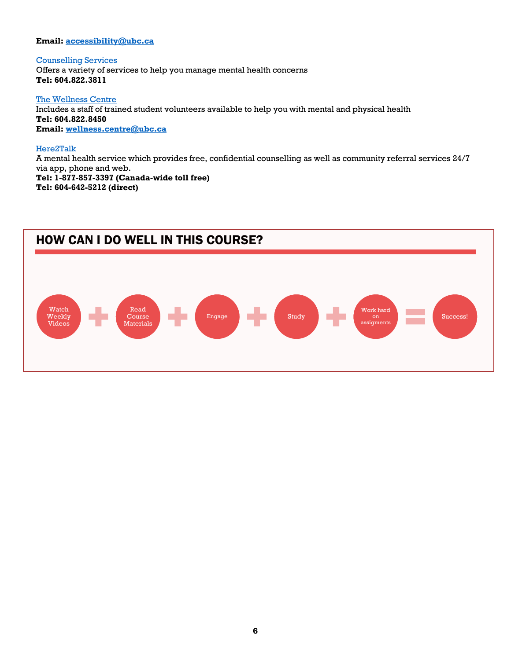### **Email: accessibility@ubc.ca**

Counselling Services Offers a variety of services to help you manage mental health concerns **Tel: 604.822.3811**

The Wellness Centre Includes a staff of trained student volunteers available to help you with mental and physical health **Tel: 604.822.8450 Email: wellness.centre@ubc.ca**

### Here2Talk

A mental health service which provides free, confidential counselling as well as community referral services 24/7 via app, phone and web. **Tel: 1-877-857-3397 (Canada-wide toll free) Tel: 604-642-5212 (direct)**

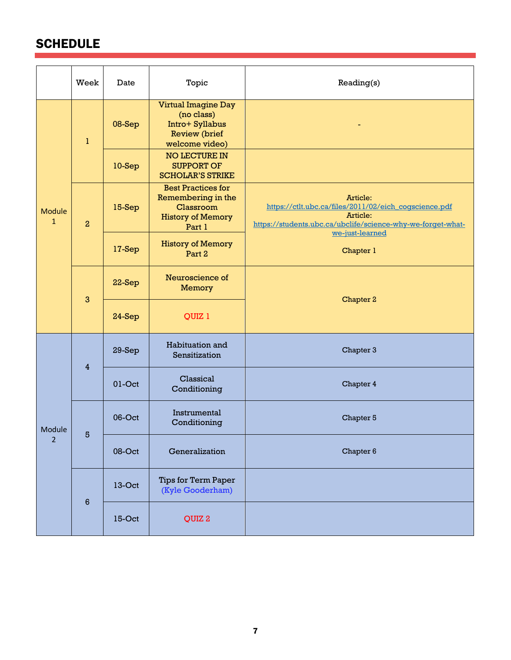# **SCHEDULE**

|                        | Week            | Date      | Topic                                                                                                 | Reading(s)                                                                                                                                                      |  |
|------------------------|-----------------|-----------|-------------------------------------------------------------------------------------------------------|-----------------------------------------------------------------------------------------------------------------------------------------------------------------|--|
| Module<br>$\mathbf{1}$ | $\mathbf{1}$    | 08-Sep    | <b>Virtual Imagine Day</b><br>(no class)<br>Intro+ Syllabus<br><b>Review</b> (brief<br>welcome video) |                                                                                                                                                                 |  |
|                        |                 | $10-Sep$  | <b>NO LECTURE IN</b><br><b>SUPPORT OF</b><br><b>SCHOLAR'S STRIKE</b>                                  |                                                                                                                                                                 |  |
|                        | $\overline{a}$  | 15-Sep    | <b>Best Practices for</b><br>Remembering in the<br>Classroom<br><b>History of Memory</b><br>Part 1    | Article:<br>https://ctlt.ubc.ca/files/2011/02/eich_cogscience.pdf<br>Article:<br>https://students.ubc.ca/ubclife/science-why-we-forget-what-<br>we-just-learned |  |
|                        |                 | 17-Sep    | <b>History of Memory</b><br>Part 2                                                                    | Chapter 1                                                                                                                                                       |  |
|                        | $\mathbf{3}$    | 22-Sep    | Neuroscience of<br><b>Memory</b>                                                                      | Chapter 2                                                                                                                                                       |  |
|                        |                 | 24-Sep    | QUIZ 1                                                                                                |                                                                                                                                                                 |  |
| Module<br>2            | $\overline{4}$  | $29-Sep$  | Habituation and<br>Sensitization                                                                      | Chapter 3                                                                                                                                                       |  |
|                        |                 | $01$ -Oct | Classical<br>Conditioning                                                                             | Chapter 4                                                                                                                                                       |  |
|                        | 5               | 06-Oct    | Instrumental<br>Conditioning                                                                          | Chapter 5                                                                                                                                                       |  |
|                        |                 | 08-Oct    | Generalization                                                                                        | Chapter 6                                                                                                                                                       |  |
|                        | $6\phantom{1}6$ | $13-Oct$  | Tips for Term Paper<br>(Kyle Gooderham)                                                               |                                                                                                                                                                 |  |
|                        |                 | 15-Oct    | QUIZ <sub>2</sub>                                                                                     |                                                                                                                                                                 |  |